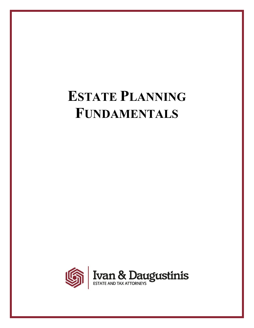# **ESTATE PLANNING FUNDAMENTALS**

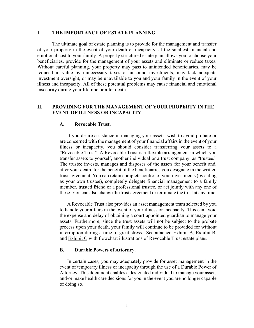#### **I. THE IMPORTANCE OF ESTATE PLANNING**

The ultimate goal of estate planning is to provide for the management and transfer of your property in the event of your death or incapacity, at the smallest financial and emotional cost to your family. A properly structured estate plan allows you to choose your beneficiaries, provide for the management of your assets and eliminate or reduce taxes. Without careful planning, your property may pass to unintended beneficiaries, may be reduced in value by unnecessary taxes or unsound investments, may lack adequate investment oversight, or may be unavailable to you and your family in the event of your illness and incapacity. All of these potential problems may cause financial and emotional insecurity during your lifetime or after death.

#### **II. PROVIDING FOR THE MANAGEMENT OF YOUR PROPERTY IN THE EVENT OF ILLNESS OR INCAPACITY**

#### **A. Revocable Trust.**

If you desire assistance in managing your assets, wish to avoid probate or are concerned with the management of your financial affairs in the event of your illness or incapacity, you should consider transferring your assets to a "Revocable Trust". A Revocable Trust is a flexible arrangement in which you transfer assets to yourself, another individual or a trust company, as "trustee." The trustee invests, manages and disposes of the assets for your benefit and, after your death, for the benefit of the beneficiaries you designate in the written trust agreement. You can retain complete control of your investments (by acting as your own trustee), completely delegate financial management to a family member, trusted friend or a professional trustee, or act jointly with any one of these. You can also change the trust agreement or terminate the trust at any time.

A Revocable Trust also provides an asset management team selected by you to handle your affairs in the event of your illness or incapacity. This can avoid the expense and delay of obtaining a court-appointed guardian to manage your assets. Furthermore, since the trust assets will not be subject to the probate process upon your death, your family will continue to be provided for without interruption during a time of great stress. See attached Exhibit A, Exhibit B, and Exhibit C with flowchart illustrations of Revocable Trust estate plans.

#### **B. Durable Powers of Attorney.**

In certain cases, you may adequately provide for asset management in the event of temporary illness or incapacity through the use of a Durable Power of Attorney. This document enables a designated individual to manage your assets and/or make health care decisions for you in the event you are no longer capable of doing so.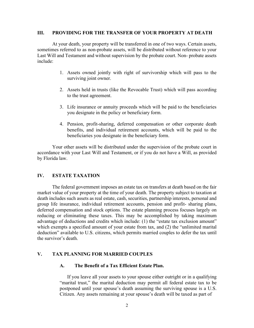#### **III. PROVIDING FOR THE TRANSFER OF YOUR PROPERTY AT DEATH**

At your death, your property will be transferred in one of two ways. Certain assets, sometimes referred to as non-probate assets, will be distributed without reference to your Last Will and Testament and without supervision by the probate court. Non- probate assets include:

- 1. Assets owned jointly with right of survivorship which will pass to the surviving joint owner.
- 2. Assets held in trusts (like the Revocable Trust) which will pass according to the trust agreement.
- 3. Life insurance or annuity proceeds which will be paid to the beneficiaries you designate in the policy or beneficiary form.
- 4. Pension, profit-sharing, deferred compensation or other corporate death benefits, and individual retirement accounts, which will be paid to the beneficiaries you designate in the beneficiary form.

Your other assets will be distributed under the supervision of the probate court in accordance with your Last Will and Testament, or if you do not have a Will, as provided by Florida law.

#### **IV. ESTATE TAXATION**

The federal government imposes an estate tax on transfers at death based on the fair market value of your property at the time of your death. The property subject to taxation at death includes such assets as real estate, cash, securities, partnership interests, personal and group life insurance, individual retirement accounts, pension and profit- sharing plans, deferred compensation and stock options. The estate planning process focuses largely on reducing or eliminating these taxes. This may be accomplished by taking maximum advantage of deductions and credits which include: (1) the "estate tax exclusion amount" which exempts a specified amount of your estate from tax, and (2) the "unlimited marital deduction" available to U.S. citizens, which permits married couples to defer the tax until the survivor's death.

#### **V. TAX PLANNING FOR MARRIED COUPLES**

#### **A. The Benefit of a Tax Efficient Estate Plan.**

If you leave all your assets to your spouse either outright or in a qualifying "marital trust," the marital deduction may permit all federal estate tax to be postponed until your spouse's death assuming the surviving spouse is a U.S. Citizen. Any assets remaining at your spouse's death will be taxed as part of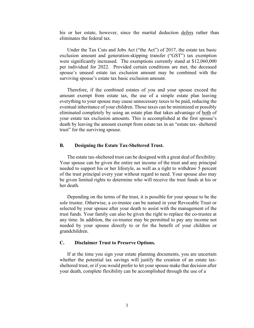his or her estate, however, since the marital deduction defers rather than eliminates the federal tax.

Under the Tax Cuts and Jobs Act ("the Act") of 2017, the estate tax basic exclusion amount and generation-skipping transfer ("GST") tax exemption were significantly increased. The exemptions currently stand at \$12,060,000 per individual for 2022. Provided certain conditions are met, the deceased spouse's unused estate tax exclusion amount may be combined with the surviving spouse's estate tax basic exclusion amount.

Therefore, if the combined estates of you and your spouse exceed the amount exempt from estate tax, the use of a simple estate plan leaving everything to your spouse may cause unnecessary taxes to be paid, reducing the eventual inheritance of your children. Those taxes can be minimized or possibly eliminated completely by using an estate plan that takes advantage of both of your estate tax exclusion amounts. This is accomplished at the first spouse's death by leaving the amount exempt from estate tax in an "estate tax- sheltered trust" for the surviving spouse.

#### **B. Designing the Estate Tax-Sheltered Trust.**

The estate tax-sheltered trust can be designed with a great deal of flexibility. Your spouse can be given the entire net income of the trust and any principal needed to support his or her lifestyle, as well as a right to withdraw 5 percent of the trust principal every year without regard to need. Your spouse also may be given limited rights to determine who will receive the trust funds at his or her death.

Depending on the terms of the trust, it is possible for your spouse to be the sole trustee. Otherwise, a co-trustee can be named in your Revocable Trust or selected by your spouse after your death to assist with the management of the trust funds. Your family can also be given the right to replace the co-trustee at any time. In addition, the co-trustee may be permitted to pay any income not needed by your spouse directly to or for the benefit of your children or grandchildren.

#### **C. Disclaimer Trust to Preserve Options.**

If at the time you sign your estate planning documents, you are uncertain whether the potential tax savings will justify the creation of an estate taxsheltered trust, or if you would prefer to let your spouse make that decision after your death, complete flexibility can be accomplished through the use of a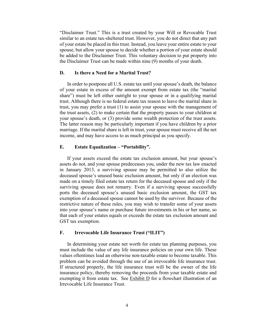"Disclaimer Trust." This is a trust created by your Will or Revocable Trust similar to an estate tax-sheltered trust. However, you do not direct that any part of your estate be placed in this trust. Instead, you leave your entire estate to your spouse, but allow your spouse to decide whether a portion of your estate should be added to the Disclaimer Trust. This voluntary decision to put property into the Disclaimer Trust can be made within nine (9) months of your death.

#### **D. Is there a Need for a Marital Trust?**

In order to postpone all U.S. estate tax until your spouse's death, the balance of your estate in excess of the amount exempt from estate tax (the "marital share") must be left either outright to your spouse or in a qualifying marital trust. Although there is no federal estate tax reason to leave the marital share in trust, you may prefer a trust (1) to assist your spouse with the management of the trust assets, (2) to make certain that the property passes to your children at your spouse's death, or (3) provide some wealth protection of the trust assets. The latter reason may be particularly important if you have children by a prior marriage. If the marital share is left in trust, your spouse must receive all the net income, and may have access to as much principal as you specify.

#### **E. Estate Equalization – "Portability".**

If your assets exceed the estate tax exclusion amount, but your spouse's assets do not, and your spouse predeceases you, under the new tax law enacted in January 2013, a surviving spouse may be permitted to also utilize the deceased spouse's unused basic exclusion amount, but only if an election was made on a timely filed estate tax return for the deceased spouse and only if the surviving spouse does not remarry. Even if a surviving spouse successfully ports the deceased spouse's unused basic exclusion amount, the GST tax exemption of a deceased spouse cannot be used by the survivor. Because of the restrictive nature of these rules, you may wish to transfer some of your assets into your spouse's name or purchase future investments in his or her name, so that each of your estates equals or exceeds the estate tax exclusion amount and GST tax exemption.

#### **F. Irrevocable Life Insurance Trust ("ILIT")**

In determining your estate net worth for estate tax planning purposes, you must include the value of any life insurance policies on your own life. These values oftentimes lead an otherwise non-taxable estate to become taxable. This problem can be avoided through the use of an irrevocable life insurance trust. If structured properly, the life insurance trust will be the owner of the life insurance policy, thereby removing the proceeds from your taxable estate and exempting it from estate tax. See Exhibit D for a flowchart illustration of an Irrevocable Life Insurance Trust.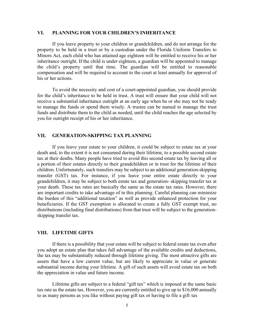#### **VI. PLANNING FOR YOUR CHILDREN'S INHERITANCE**

If you leave property to your children or grandchildren, and do not arrange for the property to be held in a trust or by a custodian under the Florida Uniform Transfers to Minors Act, each child who has attained age eighteen will be entitled to receive his or her inheritance outright. If the child is under eighteen, a guardian will be appointed to manage the child's property until that time. The guardian will be entitled to reasonable compensation and will be required to account to the court at least annually for approval of his or her actions.

To avoid the necessity and cost of a court-appointed guardian, you should provide for the child's inheritance to be held in trust. A trust will ensure that your child will not receive a substantial inheritance outright at an early age when he or she may not be ready to manage the funds or spend them wisely. A trustee can be named to manage the trust funds and distribute them to the child as needed, until the child reaches the age selected by you for outright receipt of his or her inheritance.

#### **VII. GENERATION-SKIPPING TAX PLANNING**

If you leave your estate to your children, it could be subject to estate tax at your death and, to the extent it is not consumed during their lifetime, to a possible second estate tax at their deaths. Many people have tried to avoid this second estate tax by leaving all or a portion of their estates directly to their grandchildren or in trust for the lifetime of their children. Unfortunately, such transfers may be subject to an additional generation-skipping transfer (GST) tax. For instance, if you leave your entire estate directly to your grandchildren, it may be subject to both estate tax and generation- skipping transfer tax at your death. These tax rates are basically the same as the estate tax rates. However, there are important credits to take advantage of in this planning. Careful planning can minimize the burden of this "additional taxation" as well as provide enhanced protection for your beneficiaries. If the GST exemption is allocated to create a fully GST exempt trust, no distributions (including final distributions) from that trust will be subject to the generationskipping transfer tax.

#### **VIII. LIFETIME GIFTS**

If there is a possibility that your estate will be subject to federal estate tax even after you adopt an estate plan that takes full advantage of the available credits and deductions, the tax may be substantially reduced through lifetime giving. The most attractive gifts are assets that have a low current value, but are likely to appreciate in value or generate substantial income during your lifetime. A gift of such assets will avoid estate tax on both the appreciation in value and future income.

Lifetime gifts are subject to a federal "gift tax" which is imposed at the same basic tax rate as the estate tax. However, you are currently entitled to give up to \$16,000 annually to as many persons as you like without paying gift tax or having to file a gift tax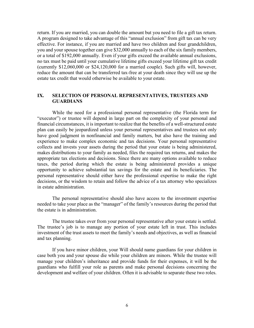return. If you are married, you can double the amount but you need to file a gift tax return. A program designed to take advantage of this "annual exclusion" from gift tax can be very effective. For instance, if you are married and have two children and four grandchildren, you and your spouse together can give \$32,000 annually to each of the six family members, or a total of \$192,000 annually. Even if your gifts exceed the available annual exclusions, no tax must be paid until your cumulative lifetime gifts exceed your lifetime gift tax credit (currently \$12,060,000 or \$24,120,000 for a married couple). Such gifts will, however, reduce the amount that can be transferred tax-free at your death since they will use up the estate tax credit that would otherwise be available to your estate.

#### **IX. SELECTION OF PERSONAL REPRESENTATIVES, TRUSTEES AND GUARDIANS**

While the need for a professional personal representative (the Florida term for "executor") or trustee will depend in large part on the complexity of your personal and financial circumstances, it is important to realize that the benefits of a well-structured estate plan can easily be jeopardized unless your personal representatives and trustees not only have good judgment in nonfinancial and family matters, but also have the training and experience to make complex economic and tax decisions. Your personal representative collects and invests your assets during the period that your estate is being administered, makes distributions to your family as needed, files the required tax returns, and makes the appropriate tax elections and decisions. Since there are many options available to reduce taxes, the period during which the estate is being administered provides a unique opportunity to achieve substantial tax savings for the estate and its beneficiaries. The personal representative should either have the professional expertise to make the right decisions, or the wisdom to retain and follow the advice of a tax attorney who specializes in estate administration.

The personal representative should also have access to the investment expertise needed to take your place as the "manager" of the family's resources during the period that the estate is in administration.

The trustee takes over from your personal representative after your estate is settled. The trustee's job is to manage any portion of your estate left in trust. This includes investment of the trust assets to meet the family's needs and objectives, as well as financial and tax planning.

If you have minor children, your Will should name guardians for your children in case both you and your spouse die while your children are minors. While the trustee will manage your children's inheritance and provide funds for their expenses, it will be the guardians who fulfill your role as parents and make personal decisions concerning the development and welfare of your children. Often it is advisable to separate these two roles.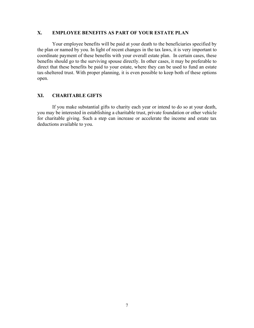#### **X. EMPLOYEE BENEFITS AS PART OF YOUR ESTATE PLAN**

Your employee benefits will be paid at your death to the beneficiaries specified by the plan or named by you. In light of recent changes in the tax laws, it is very important to coordinate payment of these benefits with your overall estate plan. In certain cases, these benefits should go to the surviving spouse directly. In other cases, it may be preferable to direct that these benefits be paid to your estate, where they can be used to fund an estate tax-sheltered trust. With proper planning, it is even possible to keep both of these options open.

#### **XI. CHARITABLE GIFTS**

If you make substantial gifts to charity each year or intend to do so at your death, you may be interested in establishing a charitable trust, private foundation or other vehicle for charitable giving. Such a step can increase or accelerate the income and estate tax deductions available to you.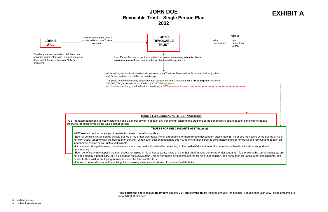### **JOHN DOE Revocable Trust – Single Person Plan 2022**

–GST nonexempt portion subject to estate tax and a general power to appoint any nonexempt share to the creditors of the beneficiary's estate at eac otherwise identical terms as the GST exempt portion.

#### **TRUSTS FOR DESCENDANTS (GST Nonexempt)**

–Each of John's children serves as sole trustee of his or her own trusts. When a grandchild or more remote descendant attains age 35, he or sh her own trusts, together with the trustee then serving. When such descendant attains age 40, he or she may serve as sole trustee of his or her independent trustee or co-trustee, if desirable.

–Income and principal from each beneficiary's share may be distributed to the beneficiary in the trustees' discretion for the beneficiary's health, maintenance.

#### **TRUSTS FOR DESCENDANTS (GST Exempt)**

–GST exempt portion not subject to estate tax at each beneficiary's death.

–Each beneficiary may appoint the trust assets remaining in his or her separate trusts at his or her death among John's other descendants. To not appointed by a beneficiary (or if a child does not survive John), his or her trust is divided into shares for his or her children, or if none, then held in further trust for multiple generations under the terms of this trust.

–If none of John's descendants are living, the remaining assets are distributed to John's intestate heirs.



## **EXHIBIT A**

| en                                                                       |  |
|--------------------------------------------------------------------------|--|
|                                                                          |  |
|                                                                          |  |
|                                                                          |  |
|                                                                          |  |
|                                                                          |  |
| ch beneficiary's death;                                                  |  |
|                                                                          |  |
| he may serve as co-trustee of his or<br>trusts and remove and appoint an |  |
| education, support and                                                   |  |
| the extent the remaining assets are<br>for John's other descendants, and |  |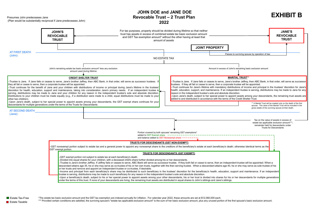### **JOHN DOE and JANE DOE Revocable Trust – 2 Trust Plan 2022**

\*The estate tax basic exclusion amount and the GST tax exemption are indexed annually for inflation. For calendar year 2022, these amounts are set at \$12,060,000 each. \*\*\* Provided certain conditions are satisfied, the surviving spouse's "estate tax applicable exclusion amount" is the sum of her basic exclusion amount, plus any unused portion of the first spouse's basic exclusion amount.

Presumes John predeceases Jane (Plan would be substantially reciprocal if Jane predeceases John)

|                                  | <b>JOHN'S</b><br><b>REVOCABLE</b><br><b>TRUST</b>                                                                                                                   |                                                                                                                                                                                                                                                                                                                                                                                                                                                                                                                                                                                                                                                                                                                                                                                                                                                                         | For tax purposes, property should be divided during lifetime so that neither<br>trust has assets in excess of combined estate tax basic exclusion amount<br>and GST Tax exemption amount* without the other having at least that<br>amount of assets                                                                                                                                                                                                                                                                                                                                                                                                                                                                                                                                                                                                                                                     | <b>JANE'S</b><br><b>REVOCABLE</b><br><b>TRUST</b>                                                                                                              |
|----------------------------------|---------------------------------------------------------------------------------------------------------------------------------------------------------------------|-------------------------------------------------------------------------------------------------------------------------------------------------------------------------------------------------------------------------------------------------------------------------------------------------------------------------------------------------------------------------------------------------------------------------------------------------------------------------------------------------------------------------------------------------------------------------------------------------------------------------------------------------------------------------------------------------------------------------------------------------------------------------------------------------------------------------------------------------------------------------|----------------------------------------------------------------------------------------------------------------------------------------------------------------------------------------------------------------------------------------------------------------------------------------------------------------------------------------------------------------------------------------------------------------------------------------------------------------------------------------------------------------------------------------------------------------------------------------------------------------------------------------------------------------------------------------------------------------------------------------------------------------------------------------------------------------------------------------------------------------------------------------------------------|----------------------------------------------------------------------------------------------------------------------------------------------------------------|
|                                  |                                                                                                                                                                     |                                                                                                                                                                                                                                                                                                                                                                                                                                                                                                                                                                                                                                                                                                                                                                                                                                                                         | <b>JOINT PROPERTY</b>                                                                                                                                                                                                                                                                                                                                                                                                                                                                                                                                                                                                                                                                                                                                                                                                                                                                                    |                                                                                                                                                                |
| <b>AT FIRST DEATH</b><br>(John): |                                                                                                                                                                     |                                                                                                                                                                                                                                                                                                                                                                                                                                                                                                                                                                                                                                                                                                                                                                                                                                                                         | Passes to surviving spouse by operation of law                                                                                                                                                                                                                                                                                                                                                                                                                                                                                                                                                                                                                                                                                                                                                                                                                                                           |                                                                                                                                                                |
|                                  |                                                                                                                                                                     | John's remaining estate tax basic exclusion amount* less any exclusion<br>amount used during lifetime                                                                                                                                                                                                                                                                                                                                                                                                                                                                                                                                                                                                                                                                                                                                                                   | NO ESTATE TAX<br>Amount in excess of John's remaining basic exclusion amount                                                                                                                                                                                                                                                                                                                                                                                                                                                                                                                                                                                                                                                                                                                                                                                                                             |                                                                                                                                                                |
|                                  |                                                                                                                                                                     |                                                                                                                                                                                                                                                                                                                                                                                                                                                                                                                                                                                                                                                                                                                                                                                                                                                                         |                                                                                                                                                                                                                                                                                                                                                                                                                                                                                                                                                                                                                                                                                                                                                                                                                                                                                                          |                                                                                                                                                                |
|                                  |                                                                                                                                                                     | <b>CREDIT SHELTER TRUST</b>                                                                                                                                                                                                                                                                                                                                                                                                                                                                                                                                                                                                                                                                                                                                                                                                                                             | <b>MARITAL TRUST**</b>                                                                                                                                                                                                                                                                                                                                                                                                                                                                                                                                                                                                                                                                                                                                                                                                                                                                                   |                                                                                                                                                                |
| other two children).             | they all fail or cease to serve, then a corporate trustee will be appointed.<br>descendants for multiple generations under the terms of the Trusts for Descendants. | -Trustee is Jane. If Jane fails or ceases to serve, Jane's brother Jeffrey, then ABC Bank, in that order, will serve as successor trustees. I<br>-Trust continues for the benefit of Jane and your children with distributions of income or principal during Jane's lifetime in the trustees'<br>discretion for health, education, support and maintenance, taking into consideration Jane's primary needs. If an independent trustee is<br>serving, distributions may be made to Jane and your children for any reason in the independent trustee's sole and absolute discretion.<br>Distributions to your children must be made equally (e.g., if a distribution were made to a child, equal distributions must be made to your<br>-Upon Jane's death, subject to her special power to appoint assets among your descendants, the GST exempt share continues for your | -Trustee is Jane. If Jane fails or ceases to serve, Jane's brother Jeffrey, then ABC Bank, in that order, will serve as successor<br>trustees. If they all fail or cease to serve, then a corporate trustee will be appointed.<br>-Trust continues for Jane's lifetime with mandatory distributions of income and principal in the trustees' discretion for Jane's<br>health, education, support, and maintenance. If an independent trustee is serving, distributions may be made to Jane for any<br>reason in the independent trustee's sole and absolute discretion.<br>-Upon Jane's death, subject to her special power to appoint assets among your descendants, the remaining trust assets are<br>added to and distributed in accordance with the terms of the Credit Shelter Trust.                                                                                                               | ** A Marital Trust will be created only on the death of the first<br>spouse. The value of the Marital Trust will be included in the                            |
| <b>AT SECOND DEATH</b>           |                                                                                                                                                                     |                                                                                                                                                                                                                                                                                                                                                                                                                                                                                                                                                                                                                                                                                                                                                                                                                                                                         |                                                                                                                                                                                                                                                                                                                                                                                                                                                                                                                                                                                                                                                                                                                                                                                                                                                                                                          | gross estate of the surviving spouse at their death.                                                                                                           |
| $(Jane)$ :                       |                                                                                                                                                                     |                                                                                                                                                                                                                                                                                                                                                                                                                                                                                                                                                                                                                                                                                                                                                                                                                                                                         | Portion covered by both spouses' remaining GST exemptions*<br>added to GST Exempt share $- - - - - - - - - - -$<br>and balance added to GST Nonexempt share $- - - - - - -$                                                                                                                                                                                                                                                                                                                                                                                                                                                                                                                                                                                                                                                                                                                              | Tax on the value of assets in excess of<br>estate tax applicable exclusion amount***;<br>remainder held for descendants under<br><b>Trusts for Descendants</b> |
|                                  |                                                                                                                                                                     |                                                                                                                                                                                                                                                                                                                                                                                                                                                                                                                                                                                                                                                                                                                                                                                                                                                                         |                                                                                                                                                                                                                                                                                                                                                                                                                                                                                                                                                                                                                                                                                                                                                                                                                                                                                                          |                                                                                                                                                                |
|                                  | <b>GST</b> exempt portion.                                                                                                                                          | TRUSTS FOR DESCENDANTS (GST NON-EXEMPT)                                                                                                                                                                                                                                                                                                                                                                                                                                                                                                                                                                                                                                                                                                                                                                                                                                 | -GST nonexempt portion subject to estate tax and a general power to appoint any nonexempt share to the creditors of the beneficiary's estate at each beneficiary's death; otherwise identical terms as the                                                                                                                                                                                                                                                                                                                                                                                                                                                                                                                                                                                                                                                                                               |                                                                                                                                                                |
|                                  |                                                                                                                                                                     | -GST exempt portion not subject to estate tax at each beneficiary's death.<br>-Divided into equal shares for your children, with a deceased child's share further divided among his or her descendants.<br>or her trusts and remove and appoint an independent trustee or co-trustee, if desirable.<br>trustee is serving, distributions may be made to such beneficiary for any reason in the independent trustee's sole and absolute discretion.<br>under the terms of this trust. If none of your descendants are living, the remaining trust assets are distributed in equal shares to John's siblings and Jane's siblings.                                                                                                                                                                                                                                         | <b>TRUSTS FOR DESCENDANTS (GST EXEMPT)</b><br>-Trustee is Jane's brother Jeffrey. If Jeffrey fails or ceases to serve, ABC Bank will serve as successor trustee. If they both fail or cease to serve, then an independent trustee will be appointed. When a<br>descendant attains age 35, he or she may serve as co-trustee of his or her own trusts, together with the then serving trustee. When a descendant attains age 40, he or she may serve as sole trustee of his<br>-Income and principal from each beneficiary's share may be distributed to such beneficiary in the trustees' discretion for the beneficiary's health, education, support and maintenance. If an independent<br>-Upon a beneficiary's death, subject to his or her special power to appoint assets among your other descendants, his or her trust is divided into shares for his or her descendants for multiple generations |                                                                                                                                                                |

### **EXHIBIT B**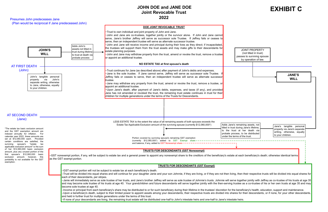#### Presumes John predeceases Jane

(Plan would be reciprocal if Jane predeceased John)



–If none of your descendants are living, the remaining trust estate will be distributed one-half to John's intestate heirs and one-half to Jane's intestate heirs.

#### **JOHN DOE and JANE DOE Joint Revocable Trust 2022**

## **EXHIBIT C**